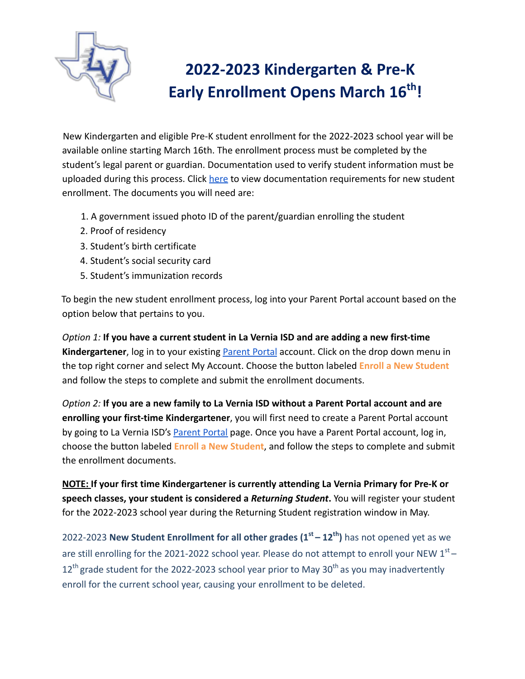

## **2022-2023 Kindergarten & Pre-K Early Enrollment Opens March 16 th !**

New Kindergarten and eligible Pre-K student enrollment for the 2022-2023 school year will be available online starting March 16th. The enrollment process must be completed by the student's legal parent or guardian. Documentation used to verify student information must be uploaded during this process. Click [here](https://drive.google.com/file/d/1H3JuO9WiohrYpRYUfkviFGPnvmgOIYq8/view?usp=sharing) to view documentation requirements for new student enrollment. The documents you will need are:

- 1. A government issued photo ID of the parent/guardian enrolling the student
- 2. Proof of residency
- 3. Student's birth certificate
- 4. Student's social security card
- 5. Student's immunization records

To begin the new student enrollment process, log into your Parent Portal account based on the option below that pertains to you.

*Option 1:* **If you have a current student in La Vernia ISD and are adding a new first-time Kindergartener**, log in to your existing [Parent Portal](https://portals20.ascendertx.com/ParentPortal/login?distid=247903) account. Click on the drop down menu in the top right corner and select My Account. Choose the button labeled **Enroll a New Student** and follow the steps to complete and submit the enrollment documents.

*Option 2:* **If you are a new family to La Vernia ISD without a Parent Portal account and are enrolling your first-time Kindergartener**, you will first need to create a Parent Portal account by going to La Vernia ISD's [Parent Portal](https://portals20.ascendertx.com/ParentPortal/login?distid=247903) page. Once you have a Parent Portal account, log in, choose the button labeled **Enroll a New Student**, and follow the steps to complete and submit the enrollment documents.

**NOTE: If your first time Kindergartener is currently attending La Vernia Primary for Pre-K or speech classes, your student is considered a** *Returning Student***.** You will register your student for the 2022-2023 school year during the Returning Student registration window in May.

2022-2023 **New Student Enrollment for all other grades (1st – 12th )** has not opened yet as we are still enrolling for the 2021-2022 school year. Please do not attempt to enroll your NEW  $1<sup>st</sup>$  –  $12<sup>th</sup>$  grade student for the 2022-2023 school year prior to May 30<sup>th</sup> as you may inadvertently enroll for the current school year, causing your enrollment to be deleted.